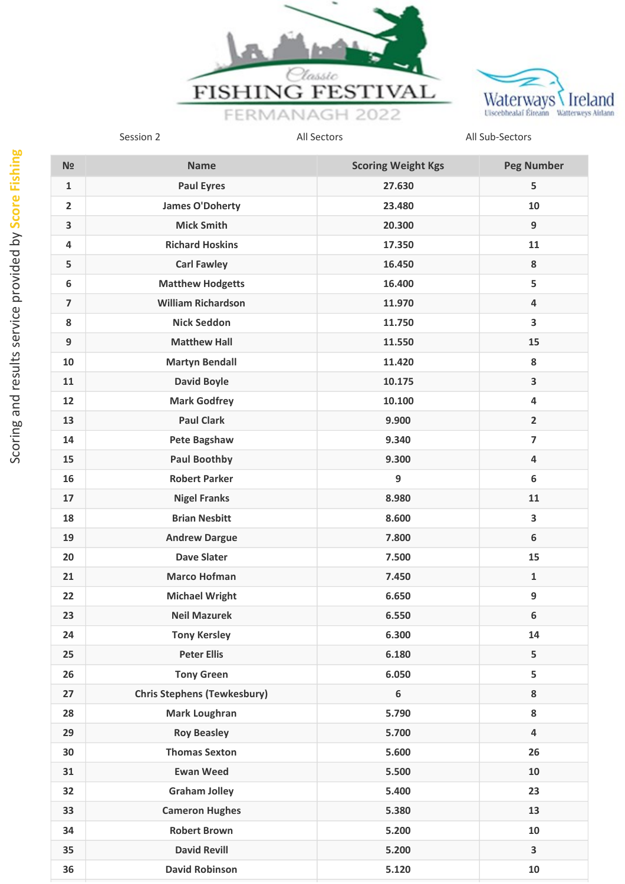



| N <sub>2</sub> | <b>Name</b>                        | <b>Scoring Weight Kgs</b> | <b>Peg Number</b>       |
|----------------|------------------------------------|---------------------------|-------------------------|
| $\mathbf 1$    | <b>Paul Eyres</b>                  | 27.630                    | 5                       |
| $\overline{2}$ | <b>James O'Doherty</b>             | 23.480                    | 10                      |
| 3              | <b>Mick Smith</b>                  | 20.300                    | 9                       |
| 4              | <b>Richard Hoskins</b>             | 17.350                    | 11                      |
| 5              | <b>Carl Fawley</b>                 | 16.450                    | 8                       |
| 6              | <b>Matthew Hodgetts</b>            | 16.400                    | 5                       |
| $\overline{7}$ | <b>William Richardson</b>          | 11.970                    | $\overline{\mathbf{4}}$ |
| 8              | <b>Nick Seddon</b>                 | 11.750                    | $\overline{\mathbf{3}}$ |
| 9              | <b>Matthew Hall</b>                | 11.550                    | 15                      |
| 10             | <b>Martyn Bendall</b>              | 11.420                    | 8                       |
| 11             | <b>David Boyle</b>                 | 10.175                    | $\overline{\mathbf{3}}$ |
| 12             | <b>Mark Godfrey</b>                | 10.100                    | 4                       |
| 13             | <b>Paul Clark</b>                  | 9.900                     | $\overline{2}$          |
| 14             | Pete Bagshaw                       | 9.340                     | $\overline{7}$          |
| 15             | <b>Paul Boothby</b>                | 9.300                     | $\overline{\mathbf{4}}$ |
| 16             | <b>Robert Parker</b>               | 9                         | 6                       |
| 17             | <b>Nigel Franks</b>                | 8.980                     | 11                      |
| 18             | <b>Brian Nesbitt</b>               | 8.600                     | $\overline{\mathbf{3}}$ |
| 19             | <b>Andrew Dargue</b>               | 7.800                     | 6                       |
| 20             | <b>Dave Slater</b>                 | 7.500                     | 15                      |
| 21             | <b>Marco Hofman</b>                | 7.450                     | $\mathbf{1}$            |
| 22             | <b>Michael Wright</b>              | 6.650                     | 9                       |
| 23             | <b>Neil Mazurek</b>                | 6.550                     | 6                       |
| 24             | <b>Tony Kersley</b>                | 6.300                     | 14                      |
| 25             | <b>Peter Ellis</b>                 | 6.180                     | 5                       |
| 26             | <b>Tony Green</b>                  | 6.050                     | 5                       |
| 27             | <b>Chris Stephens (Tewkesbury)</b> | $\boldsymbol{6}$          | 8                       |
| 28             | <b>Mark Loughran</b>               | 5.790                     | 8                       |
| 29             | <b>Roy Beasley</b>                 | 5.700                     | $\overline{\mathbf{4}}$ |
| 30             | <b>Thomas Sexton</b>               | 5.600                     | 26                      |
| 31             | <b>Ewan Weed</b>                   | 5.500                     | 10                      |
| 32             | <b>Graham Jolley</b>               | 5.400                     | 23                      |
| 33             | <b>Cameron Hughes</b>              | 5.380                     | 13                      |
| 34             | <b>Robert Brown</b>                | 5.200                     | 10                      |
| 35             | <b>David Revill</b>                | 5.200                     | 3                       |
| 36             | <b>David Robinson</b>              | 5.120                     | 10                      |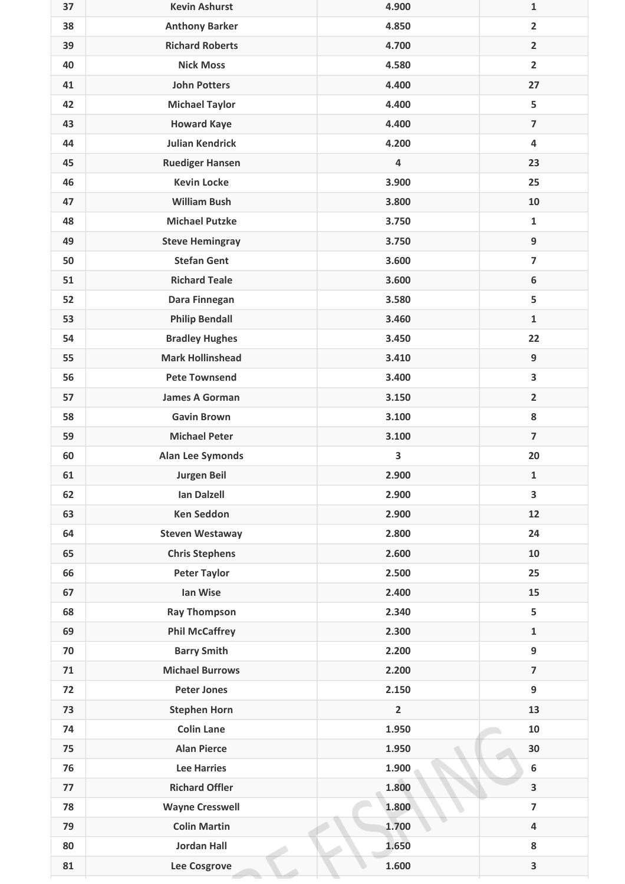| 37 | <b>Kevin Ashurst</b>    | 4.900          | $\mathbf{1}$            |
|----|-------------------------|----------------|-------------------------|
| 38 | <b>Anthony Barker</b>   | 4.850          | $\overline{2}$          |
| 39 | <b>Richard Roberts</b>  | 4.700          | $\overline{2}$          |
| 40 | <b>Nick Moss</b>        | 4.580          | $\overline{2}$          |
| 41 | <b>John Potters</b>     | 4.400          | 27                      |
| 42 | <b>Michael Taylor</b>   | 4.400          | 5                       |
| 43 | <b>Howard Kaye</b>      | 4.400          | $\overline{7}$          |
| 44 | <b>Julian Kendrick</b>  | 4.200          | 4                       |
| 45 | <b>Ruediger Hansen</b>  | 4              | 23                      |
| 46 | <b>Kevin Locke</b>      | 3.900          | 25                      |
| 47 | <b>William Bush</b>     | 3.800          | 10                      |
| 48 | <b>Michael Putzke</b>   | 3.750          | $\mathbf{1}$            |
| 49 | <b>Steve Hemingray</b>  | 3.750          | $\boldsymbol{9}$        |
| 50 | <b>Stefan Gent</b>      | 3.600          | $\overline{7}$          |
| 51 | <b>Richard Teale</b>    | 3.600          | $\boldsymbol{6}$        |
| 52 | Dara Finnegan           | 3.580          | 5                       |
| 53 | <b>Philip Bendall</b>   | 3.460          | $\mathbf 1$             |
| 54 | <b>Bradley Hughes</b>   | 3.450          | 22                      |
| 55 | <b>Mark Hollinshead</b> | 3.410          | $\boldsymbol{9}$        |
| 56 | <b>Pete Townsend</b>    | 3.400          | 3                       |
| 57 | <b>James A Gorman</b>   | 3.150          | $\overline{2}$          |
| 58 | <b>Gavin Brown</b>      | 3.100          | 8                       |
| 59 | <b>Michael Peter</b>    | 3.100          | $\overline{7}$          |
| 60 | <b>Alan Lee Symonds</b> | 3              | 20                      |
| 61 | Jurgen Beil             | 2.900          | 1                       |
| 62 | <b>Ian Dalzell</b>      | 2.900          | 3                       |
| 63 | <b>Ken Seddon</b>       | 2.900          | 12                      |
| 64 | <b>Steven Westaway</b>  | 2.800          | 24                      |
| 65 | <b>Chris Stephens</b>   | 2.600          | 10                      |
| 66 | <b>Peter Taylor</b>     | 2.500          | 25                      |
| 67 | Ian Wise                | 2.400          | 15                      |
| 68 | <b>Ray Thompson</b>     | 2.340          | 5                       |
| 69 | <b>Phil McCaffrey</b>   | 2.300          | $\mathbf{1}$            |
| 70 | <b>Barry Smith</b>      | 2.200          | 9                       |
| 71 | <b>Michael Burrows</b>  | 2.200          | $\overline{\mathbf{z}}$ |
| 72 | <b>Peter Jones</b>      | 2.150          | 9                       |
| 73 | <b>Stephen Horn</b>     | $\overline{2}$ | 13                      |
| 74 | <b>Colin Lane</b>       | 1.950          | 10                      |
| 75 | <b>Alan Pierce</b>      | 1.950          | 30                      |
| 76 | <b>Lee Harries</b>      | 1.900          | $\boldsymbol{6}$        |
| 77 | <b>Richard Offler</b>   | 1.800          | $\overline{\mathbf{3}}$ |
| 78 | <b>Wayne Cresswell</b>  | 1.800          | $\overline{7}$          |
| 79 | <b>Colin Martin</b>     | 1.700          | $\overline{\mathbf{4}}$ |
| 80 | <b>Jordan Hall</b>      | 1.650          | 8                       |
| 81 | Lee Cosgrove            | 1.600          | $\overline{\mathbf{3}}$ |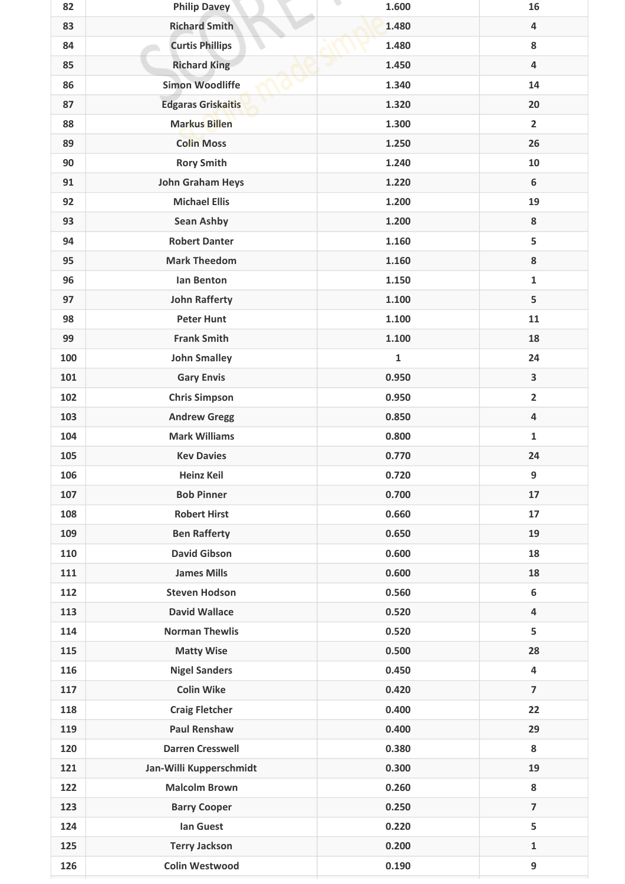| 82  | <b>Philip Davey</b>       | 1.600        | 16                      |
|-----|---------------------------|--------------|-------------------------|
| 83  | <b>Richard Smith</b>      | 1.480        | 4                       |
| 84  | <b>Curtis Phillips</b>    | 1.480        | 8                       |
| 85  | <b>Richard King</b>       | 1.450        | $\overline{\mathbf{4}}$ |
| 86  | <b>Simon Woodliffe</b>    | 1.340        | 14                      |
| 87  | <b>Edgaras Griskaitis</b> | 1.320        | 20                      |
| 88  | <b>Markus Billen</b>      | 1.300        | $\overline{\mathbf{2}}$ |
| 89  | <b>Colin Moss</b>         | 1.250        | 26                      |
| 90  | <b>Rory Smith</b>         | 1.240        | 10                      |
| 91  | <b>John Graham Heys</b>   | 1.220        | 6                       |
| 92  | <b>Michael Ellis</b>      | 1.200        | 19                      |
| 93  | <b>Sean Ashby</b>         | 1.200        | 8                       |
| 94  | <b>Robert Danter</b>      | 1.160        | 5                       |
| 95  | <b>Mark Theedom</b>       | 1.160        | 8                       |
| 96  | Ian Benton                | 1.150        | $\mathbf{1}$            |
| 97  | <b>John Rafferty</b>      | 1.100        | 5                       |
| 98  | <b>Peter Hunt</b>         | 1.100        | 11                      |
| 99  | <b>Frank Smith</b>        | 1.100        | 18                      |
| 100 | <b>John Smalley</b>       | $\mathbf{1}$ | 24                      |
| 101 | <b>Gary Envis</b>         | 0.950        | 3                       |
| 102 | <b>Chris Simpson</b>      | 0.950        | $\overline{\mathbf{2}}$ |
| 103 | <b>Andrew Gregg</b>       | 0.850        | 4                       |
| 104 | <b>Mark Williams</b>      | 0.800        | $\mathbf{1}$            |
| 105 | <b>Kev Davies</b>         | 0.770        | 24                      |
| 106 | <b>Heinz Keil</b>         | 0.720        | 9                       |
| 107 | <b>Bob Pinner</b>         | 0.700        | 17                      |
| 108 | <b>Robert Hirst</b>       | 0.660        | 17                      |
| 109 | <b>Ben Rafferty</b>       | 0.650        | 19                      |
| 110 | <b>David Gibson</b>       | 0.600        | 18                      |
| 111 | <b>James Mills</b>        | 0.600        | 18                      |
| 112 | <b>Steven Hodson</b>      | 0.560        | 6                       |
| 113 | <b>David Wallace</b>      | 0.520        | 4                       |
| 114 | <b>Norman Thewlis</b>     | 0.520        | 5                       |
| 115 | <b>Matty Wise</b>         | 0.500        | 28                      |
| 116 | <b>Nigel Sanders</b>      | 0.450        | $\overline{\mathbf{4}}$ |
| 117 | <b>Colin Wike</b>         | 0.420        | $\overline{7}$          |
| 118 | <b>Craig Fletcher</b>     | 0.400        | 22                      |
| 119 | <b>Paul Renshaw</b>       | 0.400        | 29                      |
| 120 | <b>Darren Cresswell</b>   | 0.380        | 8                       |
| 121 | Jan-Willi Kupperschmidt   | 0.300        | 19                      |
| 122 | <b>Malcolm Brown</b>      | 0.260        | 8                       |
| 123 | <b>Barry Cooper</b>       | 0.250        | $\overline{\mathbf{z}}$ |
| 124 | <b>Ian Guest</b>          | 0.220        | 5                       |
| 125 | <b>Terry Jackson</b>      | 0.200        | $\mathbf{1}$            |
| 126 | <b>Colin Westwood</b>     | 0.190        | 9                       |